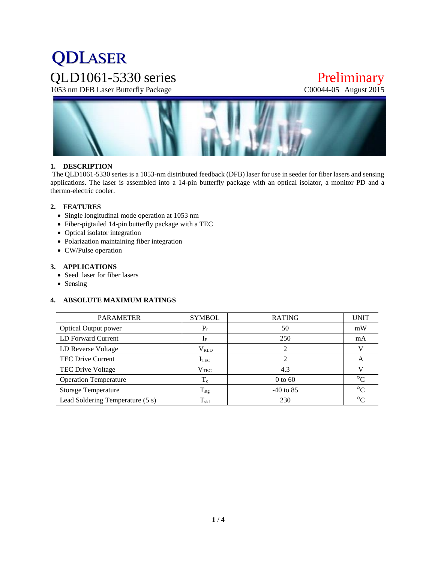# **QDLASER** QLD1061-5330 series Preliminary<br>1053 nm DFB Laser Butterfly Package C00044-05 August 2015

1053 nm DFB Laser Butterfly Package



# **1. DESCRIPTION**

The QLD1061-5330 series is a 1053-nm distributed feedback (DFB) laser for use in seeder for fiber lasers and sensing applications. The laser is assembled into a 14-pin butterfly package with an optical isolator, a monitor PD and a thermo-electric cooler.

#### **2. FEATURES**

- Single longitudinal mode operation at 1053 nm
- Fiber-pigtailed 14-pin butterfly package with a TEC
- Optical isolator integration
- Polarization maintaining fiber integration
- CW/Pulse operation

#### **3. APPLICATIONS**

- Seed laser for fiber lasers
- Sensing

# **4. ABSOLUTE MAXIMUM RATINGS**

| <b>PARAMETER</b>                 | <b>SYMBOL</b> | <b>RATING</b> | <b>UNIT</b> |
|----------------------------------|---------------|---------------|-------------|
| <b>Optical Output power</b>      | $P_f$         | 50            | mW          |
| LD Forward Current               | $I_F$         | 250           | mA          |
| LD Reverse Voltage               | $V_{RLD}$     |               |             |
| TEC Drive Current                | $I_{\rm TEC}$ |               | A           |
| TEC Drive Voltage                | $\rm V_{TEC}$ | 4.3           |             |
| <b>Operation Temperature</b>     | $T_c$         | $0$ to 60     | $\circ$     |
| <b>Storage Temperature</b>       | $T_{\rm stg}$ | $-40$ to 85   | $\circ$     |
| Lead Soldering Temperature (5 s) | $T_{\rm sld}$ | 230           | $\circ$     |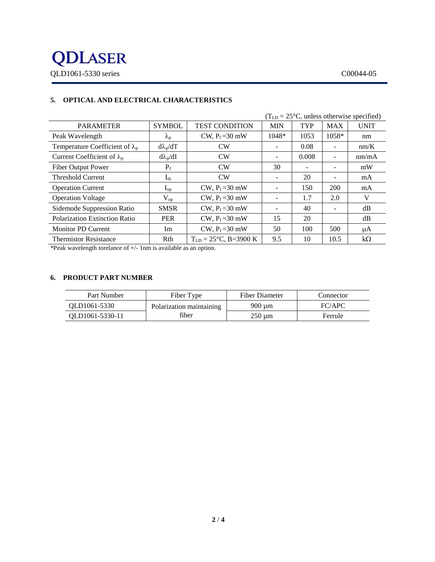

|                                        |                 |                                   |                          |            |            | $(TLD = 25oC$ , unless otherwise specified) |
|----------------------------------------|-----------------|-----------------------------------|--------------------------|------------|------------|---------------------------------------------|
| <b>PARAMETER</b>                       | <b>SYMBOL</b>   | <b>TEST CONDITION</b>             | <b>MIN</b>               | <b>TYP</b> | <b>MAX</b> | <b>UNIT</b>                                 |
| Peak Wavelength                        | $\lambda_{p}$   | CW, $P_f = 30$ mW                 | 1048*                    | 1053       | $1058*$    | nm                                          |
| Temperature Coefficient of $\lambda_p$ | $d\lambda_p/dT$ | CW                                |                          | 0.08       |            | nm/K                                        |
| Current Coefficient of $\lambda_p$     | $d\lambda_p/dI$ | CW                                |                          | 0.008      |            | nm/mA                                       |
| Fiber Output Power                     | $P_f$           | CW                                | 30                       |            |            | mW                                          |
| <b>Threshold Current</b>               | $I_{th}$        | CW                                | -                        | 20         |            | mA                                          |
| <b>Operation Current</b>               | $I_{op}$        | CW, $P_f = 30$ mW                 | $\overline{\phantom{a}}$ | 150        | 200        | mA                                          |
| <b>Operation Voltage</b>               | $\rm V_{op}$    | CW, $P_f = 30$ mW                 |                          | 1.7        | 2.0        | V                                           |
| Sidemode Suppression Ratio             | <b>SMSR</b>     | CW, $P_f = 30$ mW                 | $\overline{\phantom{a}}$ | 40         |            | dB                                          |
| Polarization Extinction Ratio          | <b>PER</b>      | CW, $P_f = 30$ mW                 | 15                       | 20         |            | dB                                          |
| <b>Monitor PD Current</b>              | Im              | CW, $P_f = 30$ mW                 | 50                       | 100        | 500        | μA                                          |
| <b>Thermistor Resistance</b>           | Rth             | $T_{LD} = 25^{\circ}C$ , B=3900 K | 9.5                      | 10         | 10.5       | $k\Omega$                                   |

# **5. OPTICAL AND ELECTRICAL CHARACTERISTICS**

\*Peak wavelength torelance of +/- 1nm is available as an option.

#### **6. PRODUCT PART NUMBER**

| Part Number     | Fiber Type               | <b>Fiber Diameter</b> | Connector |
|-----------------|--------------------------|-----------------------|-----------|
| OLD1061-5330    | Polarization maintaining | $900 \mu m$           | FC/APC    |
| OLD1061-5330-11 | fiber                    | $250 \mu m$           | Ferrule   |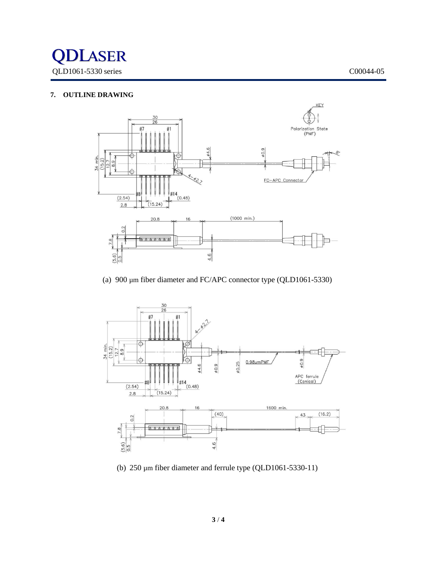

# **7. OUTLINE DRAWING**



(a) 900 µm fiber diameter and FC/APC connector type (QLD1061-5330)



(b) 250 µm fiber diameter and ferrule type (QLD1061-5330-11)